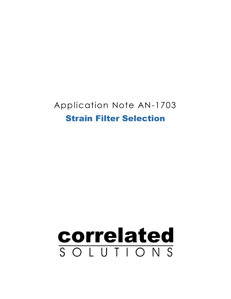# Application Note AN-1703 Strain Filter Selection

# correlated SOLUTIONS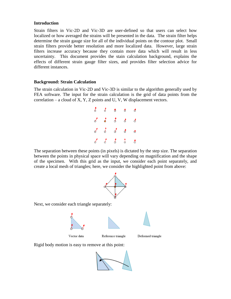#### **Introduction**

Strain filters in Vic-2D and Vic-3D are user-defined so that users can select how localized or how averaged the strains will be presented in the data. The strain filter helps determine the strain gauge size for all of the individual points on the contour plot. Small strain filters provide better resolution and more localized data. However, large strain filters increase accuracy because they contain more data which will result in less uncertainty. This document provides the stain calculation background, explains the effects of different strain gauge filter sizes, and provides filter selection advice for different instances.

## **Background: Strain Calculation**

The strain calculation in Vic-2D and Vic-3D is similar to the algorithm generally used by FEA software. The input for the strain calculation is the grid of data points from the correlation – a cloud of X, Y, Z points and U, V, W displacement vectors.

|  | $\begin{array}{cccccccccccccc} \delta & \delta & \delta & \delta & \delta & \delta \end{array}$ |  |
|--|-------------------------------------------------------------------------------------------------|--|
|  | $\delta$ $\delta$ $\delta$ $\delta$ $\delta$                                                    |  |
|  | $\delta$ $\delta$ $\delta$ $\delta$ $\delta$                                                    |  |
|  | $\delta$ $\delta$ $\delta$ $\delta$ $\delta$                                                    |  |

The separation between these points (in pixels) is dictated by the step size. The separation between the points in physical space will vary depending on magnification and the shape of the specimen. With this grid as the input, we consider each point separately, and create a local mesh of triangles; here, we consider the highlighted point from above:



Next, we consider each triangle separately:



Deformed triangle

Rigid body motion is easy to remove at this point:

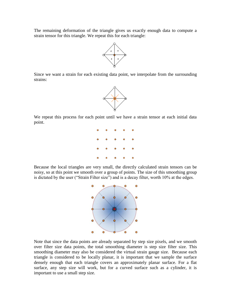The remaining deformation of the triangle gives us exactly enough data to compute a strain tensor for this triangle. We repeat this for each triangle:



Since we want a strain for each existing data point, we interpolate from the surrounding strains:



We repeat this process for each point until we have a strain tensor at each initial data point.



Because the local triangles are very small, the directly calculated strain tensors can be noisy, so at this point we smooth over a group of points. The size of this smoothing group is dictated by the user ("Strain Filter size") and is a decay filter, worth 10% at the edges.



Note that since the data points are already separated by step size pixels, and we smooth over filter size data points, the total smoothing diameter is step size filter size. This smoothing diameter may also be considered the virtual strain gauge size. Because each triangle is considered to be locally planar, it is important that we sample the surface densely enough that each triangle covers an approximately planar surface. For a flat surface, any step size will work, but for a curved surface such as a cylinder, it is important to use a small step size.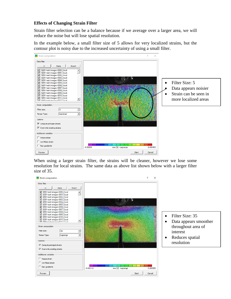#### **Effects of Changing Strain Filter**

Strain filter selection can be a balance because if we average over a larger area, we will reduce the noise but will lose spatial resolution.

In the example below, a small filter size of 5 allows for very localized strains, but the contour plot is noisy due to the increased uncertainty of using a small filter.



When using a larger strain filter, the strains will be cleaner, however we lose some resolution for local strains. The same data as above list shown below with a larger filter size of 35.

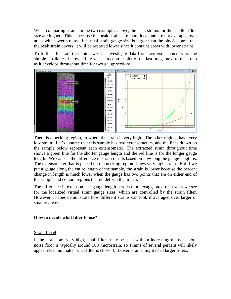When comparing strains in the two examples above, the peak strains for the smaller filter size are higher. This is because the peak strains are more local and are not averaged over areas with lower strains. If virtual strain gauge size is larger than the physical area that the peak strain covers, it will be reported lower since it contains areas with lower strains.

To further illustrate this point, we can investigate data from two extensometers for the simple tensile test below. Here we see a contour plot of the last image next to the strain as it develops throughout time for two gauge sections.



There is a necking region, in where the strain is very high. The other regions have very low strain. Let's assume that this sample has two extensometers, and the lines drawn on the sample below represent each extensometer. The extracted strain throughout time shows a green line for the shorter gauge length and the red line is for the longer gauge length. We can see the difference in strain results based on how long the gauge length is. The extensometer that is placed on the necking region shows very high strain. But if we put a gauge along the entire length of the sample, the strain is lower because the percent change in length is much lower when the gauge has two points that are on either end of the sample and contain regions that do deform that much.

The difference in extensometer gauge length here is more exaggerated than what we see for the localized virtual strain gauge sizes, which are controlled by the strain filter. However, it does demonstrate how different strains can look if averaged over larger or smaller areas.

#### **How to decide what filter to use?**

#### Strain Level

If the strains are very high, small filters may be used without increasing the noise (our noise floor is typically around 100 microstrain, so strains of several percent will likely appear clean no matter what filter is chosen). Lower strains might need larger filters.